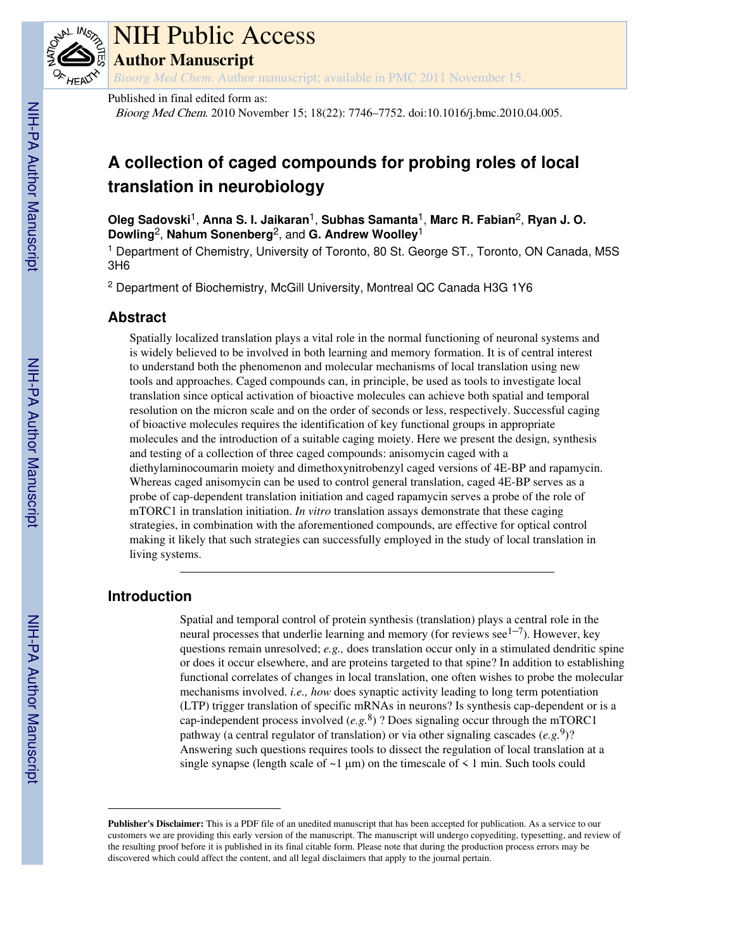

# NIH Public Access

**Author Manuscript**

*Bioorg Med Chem*. Author manuscript; available in PMC 2011 November 15.

Published in final edited form as:

Bioorg Med Chem. 2010 November 15; 18(22): 7746–7752. doi:10.1016/j.bmc.2010.04.005.

## **A collection of caged compounds for probing roles of local translation in neurobiology**

**Oleg Sadovski**1, **Anna S. I. Jaikaran**1, **Subhas Samanta**1, **Marc R. Fabian**2, **Ryan J. O. Dowling**2, **Nahum Sonenberg**2, and **G. Andrew Woolley**<sup>1</sup>

<sup>1</sup> Department of Chemistry, University of Toronto, 80 St. George ST., Toronto, ON Canada, M5S 3H6

<sup>2</sup> Department of Biochemistry, McGill University, Montreal QC Canada H3G 1Y6

## **Abstract**

Spatially localized translation plays a vital role in the normal functioning of neuronal systems and is widely believed to be involved in both learning and memory formation. It is of central interest to understand both the phenomenon and molecular mechanisms of local translation using new tools and approaches. Caged compounds can, in principle, be used as tools to investigate local translation since optical activation of bioactive molecules can achieve both spatial and temporal resolution on the micron scale and on the order of seconds or less, respectively. Successful caging of bioactive molecules requires the identification of key functional groups in appropriate molecules and the introduction of a suitable caging moiety. Here we present the design, synthesis and testing of a collection of three caged compounds: anisomycin caged with a diethylaminocoumarin moiety and dimethoxynitrobenzyl caged versions of 4E-BP and rapamycin. Whereas caged anisomycin can be used to control general translation, caged 4E-BP serves as a probe of cap-dependent translation initiation and caged rapamycin serves a probe of the role of mTORC1 in translation initiation. *In vitro* translation assays demonstrate that these caging strategies, in combination with the aforementioned compounds, are effective for optical control making it likely that such strategies can successfully employed in the study of local translation in living systems.

## **Introduction**

Spatial and temporal control of protein synthesis (translation) plays a central role in the neural processes that underlie learning and memory (for reviews  $\sec^{1-7}$ ). However, key questions remain unresolved; *e.g.,* does translation occur only in a stimulated dendritic spine or does it occur elsewhere, and are proteins targeted to that spine? In addition to establishing functional correlates of changes in local translation, one often wishes to probe the molecular mechanisms involved. *i.e., how* does synaptic activity leading to long term potentiation (LTP) trigger translation of specific mRNAs in neurons? Is synthesis cap-dependent or is a cap-independent process involved  $(e.g. 8)$  ? Does signaling occur through the mTORC1 pathway (a central regulator of translation) or via other signaling cascades (e.g.<sup>9</sup>)? Answering such questions requires tools to dissect the regulation of local translation at a single synapse (length scale of  $\sim$ 1  $\mu$ m) on the timescale of  $\leq$  1 min. Such tools could

**Publisher's Disclaimer:** This is a PDF file of an unedited manuscript that has been accepted for publication. As a service to our customers we are providing this early version of the manuscript. The manuscript will undergo copyediting, typesetting, and review of the resulting proof before it is published in its final citable form. Please note that during the production process errors may be discovered which could affect the content, and all legal disclaimers that apply to the journal pertain.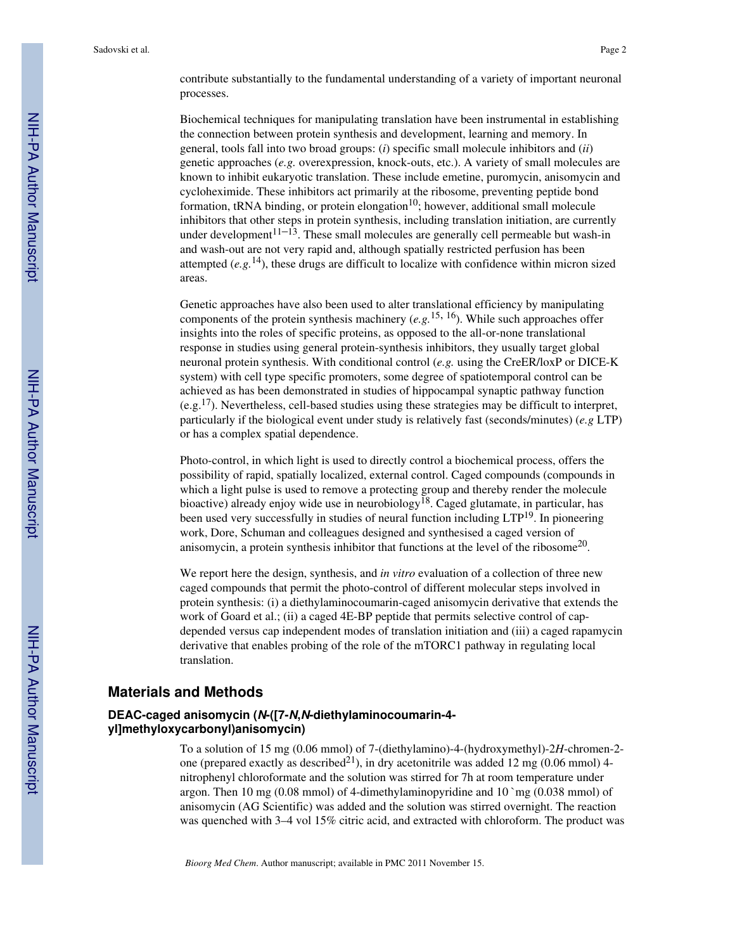contribute substantially to the fundamental understanding of a variety of important neuronal processes.

Biochemical techniques for manipulating translation have been instrumental in establishing the connection between protein synthesis and development, learning and memory. In general, tools fall into two broad groups: (*i*) specific small molecule inhibitors and (*ii*) genetic approaches (*e.g.* overexpression, knock-outs, etc.). A variety of small molecules are known to inhibit eukaryotic translation. These include emetine, puromycin, anisomycin and cycloheximide. These inhibitors act primarily at the ribosome, preventing peptide bond formation, tRNA binding, or protein elongation<sup>10</sup>; however, additional small molecule inhibitors that other steps in protein synthesis, including translation initiation, are currently under development $1^{1-13}$ . These small molecules are generally cell permeable but wash-in and wash-out are not very rapid and, although spatially restricted perfusion has been attempted  $(e, g, 14)$ , these drugs are difficult to localize with confidence within micron sized areas.

Genetic approaches have also been used to alter translational efficiency by manipulating components of the protein synthesis machinery  $(e, g, \frac{15}{16})$ . While such approaches offer insights into the roles of specific proteins, as opposed to the all-or-none translational response in studies using general protein-synthesis inhibitors, they usually target global neuronal protein synthesis. With conditional control (*e.g.* using the CreER/loxP or DICE-K system) with cell type specific promoters, some degree of spatiotemporal control can be achieved as has been demonstrated in studies of hippocampal synaptic pathway function (e.g.<sup>17</sup>). Nevertheless, cell-based studies using these strategies may be difficult to interpret, particularly if the biological event under study is relatively fast (seconds/minutes) (*e.g* LTP) or has a complex spatial dependence.

Photo-control, in which light is used to directly control a biochemical process, offers the possibility of rapid, spatially localized, external control. Caged compounds (compounds in which a light pulse is used to remove a protecting group and thereby render the molecule bioactive) already enjoy wide use in neurobiology<sup>18</sup>. Caged glutamate, in particular, has been used very successfully in studies of neural function including  $LTP<sup>19</sup>$ . In pioneering work, Dore, Schuman and colleagues designed and synthesised a caged version of anisomycin, a protein synthesis inhibitor that functions at the level of the ribosome<sup>20</sup>.

We report here the design, synthesis, and *in vitro* evaluation of a collection of three new caged compounds that permit the photo-control of different molecular steps involved in protein synthesis: (i) a diethylaminocoumarin-caged anisomycin derivative that extends the work of Goard et al.; (ii) a caged 4E-BP peptide that permits selective control of capdepended versus cap independent modes of translation initiation and (iii) a caged rapamycin derivative that enables probing of the role of the mTORC1 pathway in regulating local translation.

## **Materials and Methods**

## **DEAC-caged anisomycin (N-([7-N,N-diethylaminocoumarin-4 yl]methyloxycarbonyl)anisomycin)**

To a solution of 15 mg (0.06 mmol) of 7-(diethylamino)-4-(hydroxymethyl)-2*H*-chromen-2 one (prepared exactly as described<sup>21</sup>), in dry acetonitrile was added 12 mg (0.06 mmol) 4nitrophenyl chloroformate and the solution was stirred for 7h at room temperature under argon. Then 10 mg (0.08 mmol) of 4-dimethylaminopyridine and 10 `mg (0.038 mmol) of anisomycin (AG Scientific) was added and the solution was stirred overnight. The reaction was quenched with 3–4 vol 15% citric acid, and extracted with chloroform. The product was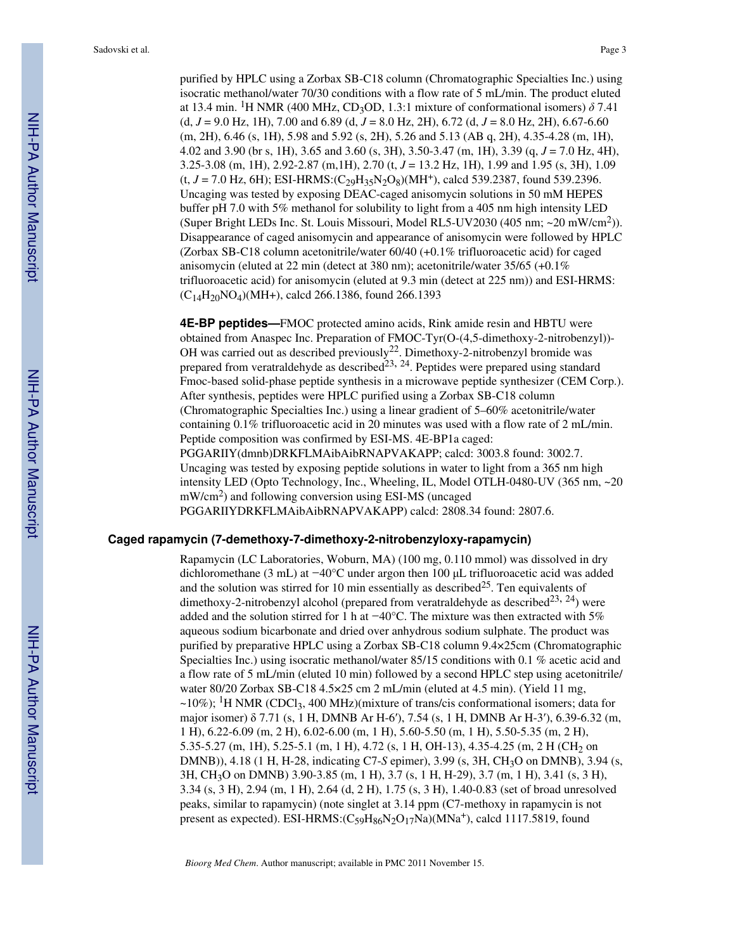purified by HPLC using a Zorbax SB-C18 column (Chromatographic Specialties Inc.) using isocratic methanol/water 70/30 conditions with a flow rate of 5 mL/min. The product eluted at 13.4 min. <sup>1</sup>H NMR (400 MHz, CD<sub>3</sub>OD, 1.3:1 mixture of conformational isomers)  $\delta$  7.41 (d, *J* = 9.0 Hz, 1H), 7.00 and 6.89 (d, *J* = 8.0 Hz, 2H), 6.72 (d, *J* = 8.0 Hz, 2H), 6.67-6.60 (m, 2H), 6.46 (s, 1H), 5.98 and 5.92 (s, 2H), 5.26 and 5.13 (AB q, 2H), 4.35-4.28 (m, 1H), 4.02 and 3.90 (br s, 1H), 3.65 and 3.60 (s, 3H), 3.50-3.47 (m, 1H), 3.39 (q, *J* = 7.0 Hz, 4H), 3.25-3.08 (m, 1H), 2.92-2.87 (m,1H), 2.70 (t, *J* = 13.2 Hz, 1H), 1.99 and 1.95 (s, 3H), 1.09  $(t, J = 7.0 \text{ Hz}, 6\text{H})$ ; ESI-HRMS: $(C_{29}H_{35}N_{2}O_8)(\text{MHz})$ , calcd 539.2387, found 539.2396. Uncaging was tested by exposing DEAC-caged anisomycin solutions in 50 mM HEPES buffer pH 7.0 with 5% methanol for solubility to light from a 405 nm high intensity LED (Super Bright LEDs Inc. St. Louis Missouri, Model RL5-UV2030 (405 nm; ~20 mW/cm<sup>2</sup>)). Disappearance of caged anisomycin and appearance of anisomycin were followed by HPLC (Zorbax SB-C18 column acetonitrile/water 60/40 (+0.1% trifluoroacetic acid) for caged anisomycin (eluted at 22 min (detect at 380 nm); acetonitrile/water 35/65 (+0.1% trifluoroacetic acid) for anisomycin (eluted at 9.3 min (detect at 225 nm)) and ESI-HRMS: (C14H20NO4)(MH+), calcd 266.1386, found 266.1393

**4E-BP peptides—**FMOC protected amino acids, Rink amide resin and HBTU were obtained from Anaspec Inc. Preparation of FMOC-Tyr(O-(4,5-dimethoxy-2-nitrobenzyl))- OH was carried out as described previously<sup>22</sup>. Dimethoxy-2-nitrobenzyl bromide was prepared from veratraldehyde as described<sup>23, 24</sup>. Peptides were prepared using standard Fmoc-based solid-phase peptide synthesis in a microwave peptide synthesizer (CEM Corp.). After synthesis, peptides were HPLC purified using a Zorbax SB-C18 column (Chromatographic Specialties Inc.) using a linear gradient of 5–60% acetonitrile/water containing 0.1% trifluoroacetic acid in 20 minutes was used with a flow rate of 2 mL/min. Peptide composition was confirmed by ESI-MS. 4E-BP1a caged: PGGARIIY(dmnb)DRKFLMAibAibRNAPVAKAPP; calcd: 3003.8 found: 3002.7. Uncaging was tested by exposing peptide solutions in water to light from a 365 nm high intensity LED (Opto Technology, Inc., Wheeling, IL, Model OTLH-0480-UV (365 nm, ~20 mW/cm<sup>2</sup>) and following conversion using ESI-MS (uncaged PGGARIIYDRKFLMAibAibRNAPVAKAPP) calcd: 2808.34 found: 2807.6.

#### **Caged rapamycin (7-demethoxy-7-dimethoxy-2-nitrobenzyloxy-rapamycin)**

Rapamycin (LC Laboratories, Woburn, MA) (100 mg, 0.110 mmol) was dissolved in dry dichloromethane (3 mL) at −40°C under argon then 100 μL trifluoroacetic acid was added and the solution was stirred for 10 min essentially as described<sup>25</sup>. Ten equivalents of dimethoxy-2-nitrobenzyl alcohol (prepared from veratraldehyde as described<sup>23, 24</sup>) were added and the solution stirred for 1 h at −40°C. The mixture was then extracted with 5% aqueous sodium bicarbonate and dried over anhydrous sodium sulphate. The product was purified by preparative HPLC using a Zorbax SB-C18 column 9.4×25cm (Chromatographic Specialties Inc.) using isocratic methanol/water 85/15 conditions with 0.1 % acetic acid and a flow rate of 5 mL/min (eluted 10 min) followed by a second HPLC step using acetonitrile/ water 80/20 Zorbax SB-C18 4.5×25 cm 2 mL/min (eluted at 4.5 min). (Yield 11 mg,  $\sim$ 10%); <sup>1</sup>H NMR (CDCl<sub>3</sub>, 400 MHz)(mixture of trans/cis conformational isomers; data for major isomer) δ 7.71 (s, 1 H, DMNB Ar H-6′), 7.54 (s, 1 H, DMNB Ar H-3′), 6.39-6.32 (m, 1 H), 6.22-6.09 (m, 2 H), 6.02-6.00 (m, 1 H), 5.60-5.50 (m, 1 H), 5.50-5.35 (m, 2 H), 5.35-5.27 (m, 1H), 5.25-5.1 (m, 1 H), 4.72 (s, 1 H, OH-13), 4.35-4.25 (m, 2 H (CH<sub>2</sub> on DMNB)), 4.18 (1 H, H-28, indicating C7-*S* epimer), 3.99 (s, 3H, CH3O on DMNB), 3.94 (s, 3H, CH3O on DMNB) 3.90-3.85 (m, 1 H), 3.7 (s, 1 H, H-29), 3.7 (m, 1 H), 3.41 (s, 3 H), 3.34 (s, 3 H), 2.94 (m, 1 H), 2.64 (d, 2 H), 1.75 (s, 3 H), 1.40-0.83 (set of broad unresolved peaks, similar to rapamycin) (note singlet at 3.14 ppm (C7-methoxy in rapamycin is not present as expected). ESI-HRMS: $(C_{59}H_{86}N_2O_{17}Na)(MNa^+)$ , calcd 1117.5819, found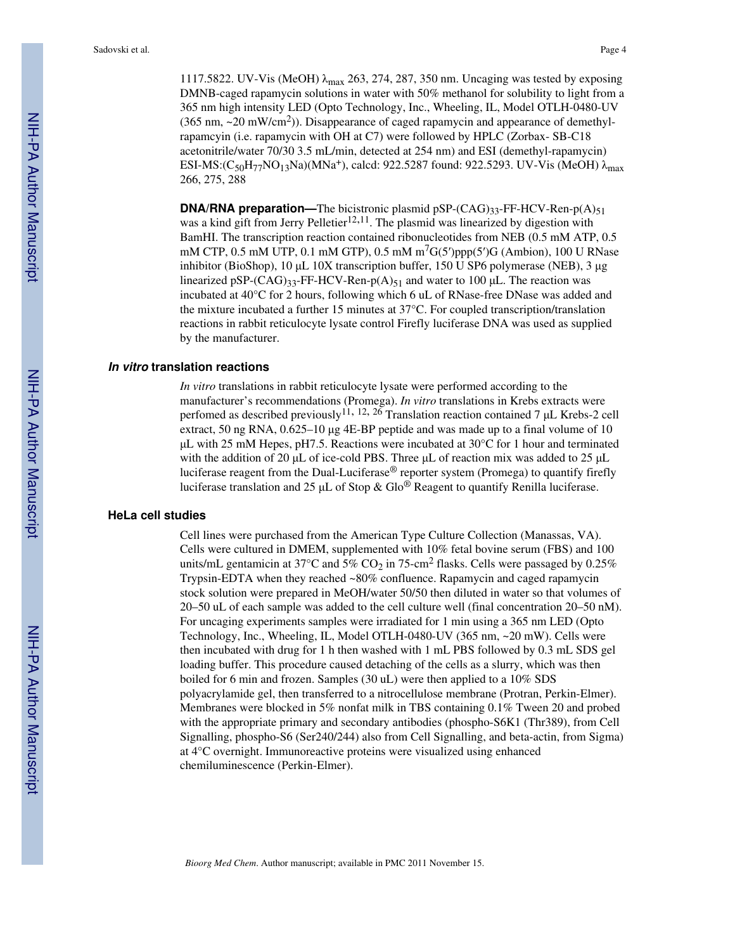1117.5822. UV-Vis (MeOH) λmax 263, 274, 287, 350 nm. Uncaging was tested by exposing DMNB-caged rapamycin solutions in water with 50% methanol for solubility to light from a 365 nm high intensity LED (Opto Technology, Inc., Wheeling, IL, Model OTLH-0480-UV  $(365 \text{ nm}, -20 \text{ mW/cm}^2)$ ). Disappearance of caged rapamycin and appearance of demethyl-

rapamcyin (i.e. rapamycin with OH at C7) were followed by HPLC (Zorbax- SB-C18 acetonitrile/water 70/30 3.5 mL/min, detected at 254 nm) and ESI (demethyl-rapamycin) ESI-MS:(C<sub>50</sub>H<sub>77</sub>NO<sub>13</sub>Na)(MNa<sup>+</sup>), calcd: 922.5287 found: 922.5293. UV-Vis (MeOH)  $\lambda_{\text{max}}$ 266, 275, 288

**DNA/RNA preparation—The bicistronic plasmid pSP-** $(CAG)_{33}$ **-FF-HCV-Ren-p(A)<sub>51</sub>** was a kind gift from Jerry Pelletier<sup>12,11</sup>. The plasmid was linearized by digestion with BamHI. The transcription reaction contained ribonucleotides from NEB (0.5 mM ATP, 0.5 mM CTP, 0.5 mM UTP, 0.1 mM GTP), 0.5 mM m7G(5′)ppp(5′)G (Ambion), 100 U RNase inhibitor (BioShop), 10 μL 10X transcription buffer, 150 U SP6 polymerase (NEB), 3 μg linearized pSP- $(CAG)_{33}$ -FF-HCV-Ren-p(A)<sub>51</sub> and water to 100 µL. The reaction was incubated at 40°C for 2 hours, following which 6 uL of RNase-free DNase was added and the mixture incubated a further 15 minutes at 37°C. For coupled transcription/translation reactions in rabbit reticulocyte lysate control Firefly luciferase DNA was used as supplied by the manufacturer.

#### **In vitro translation reactions**

*In vitro* translations in rabbit reticulocyte lysate were performed according to the manufacturer's recommendations (Promega). *In vitro* translations in Krebs extracts were perfomed as described previously<sup>11, 12, 26</sup> Translation reaction contained 7  $\mu$ L Krebs-2 cell extract, 50 ng RNA, 0.625–10 μg 4E-BP peptide and was made up to a final volume of 10 μL with 25 mM Hepes, pH7.5. Reactions were incubated at 30°C for 1 hour and terminated with the addition of 20 μL of ice-cold PBS. Three μL of reaction mix was added to 25 μL luciferase reagent from the Dual-Luciferase® reporter system (Promega) to quantify firefly luciferase translation and 25 μL of Stop & Glo® Reagent to quantify Renilla luciferase.

## **HeLa cell studies**

Cell lines were purchased from the American Type Culture Collection (Manassas, VA). Cells were cultured in DMEM, supplemented with 10% fetal bovine serum (FBS) and 100 units/mL gentamicin at 37°C and 5% CO<sub>2</sub> in 75-cm<sup>2</sup> flasks. Cells were passaged by 0.25% Trypsin-EDTA when they reached ~80% confluence. Rapamycin and caged rapamycin stock solution were prepared in MeOH/water 50/50 then diluted in water so that volumes of 20–50 uL of each sample was added to the cell culture well (final concentration 20–50 nM). For uncaging experiments samples were irradiated for 1 min using a 365 nm LED (Opto Technology, Inc., Wheeling, IL, Model OTLH-0480-UV (365 nm, ~20 mW). Cells were then incubated with drug for 1 h then washed with 1 mL PBS followed by 0.3 mL SDS gel loading buffer. This procedure caused detaching of the cells as a slurry, which was then boiled for 6 min and frozen. Samples (30 uL) were then applied to a 10% SDS polyacrylamide gel, then transferred to a nitrocellulose membrane (Protran, Perkin-Elmer). Membranes were blocked in 5% nonfat milk in TBS containing 0.1% Tween 20 and probed with the appropriate primary and secondary antibodies (phospho-S6K1 (Thr389), from Cell Signalling, phospho-S6 (Ser240/244) also from Cell Signalling, and beta-actin, from Sigma) at 4°C overnight. Immunoreactive proteins were visualized using enhanced chemiluminescence (Perkin-Elmer).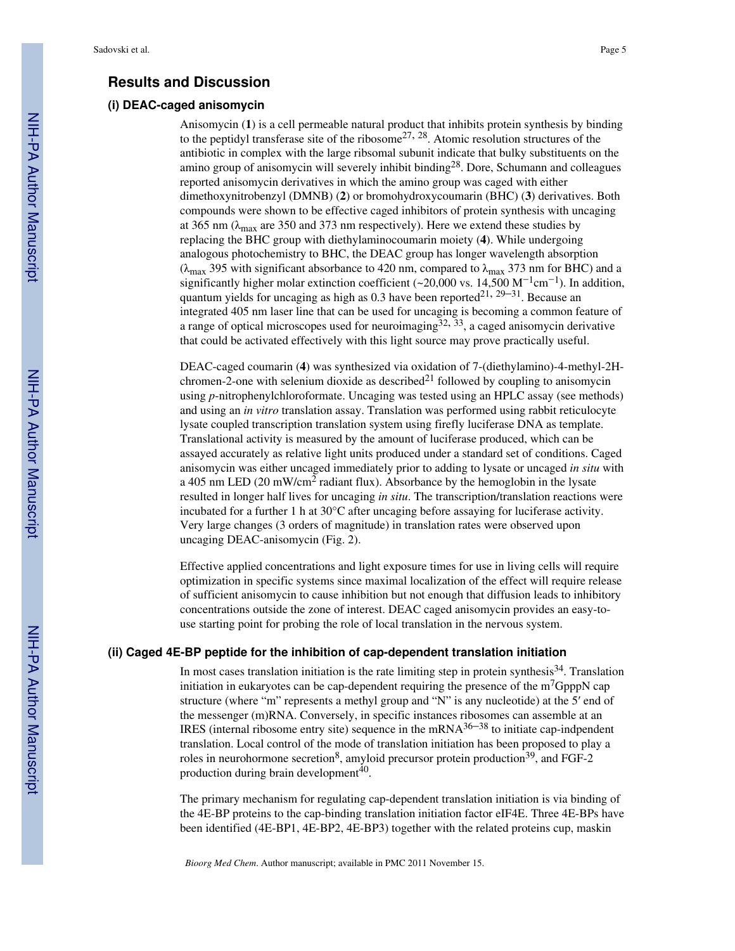## **Results and Discussion**

## **(i) DEAC-caged anisomycin**

Anisomycin (**1**) is a cell permeable natural product that inhibits protein synthesis by binding to the peptidyl transferase site of the ribosome<sup>27, 28</sup>. Atomic resolution structures of the antibiotic in complex with the large ribsomal subunit indicate that bulky substituents on the amino group of anisomycin will severely inhibit binding28. Dore, Schumann and colleagues reported anisomycin derivatives in which the amino group was caged with either dimethoxynitrobenzyl (DMNB) (**2**) or bromohydroxycoumarin (BHC) (**3**) derivatives. Both compounds were shown to be effective caged inhibitors of protein synthesis with uncaging at 365 nm ( $\lambda_{\text{max}}$  are 350 and 373 nm respectively). Here we extend these studies by replacing the BHC group with diethylaminocoumarin moiety (**4**). While undergoing analogous photochemistry to BHC, the DEAC group has longer wavelength absorption ( $\lambda_{\text{max}}$  395 with significant absorbance to 420 nm, compared to  $\lambda_{\text{max}}$  373 nm for BHC) and a significantly higher molar extinction coefficient (~20,000 vs. 14,500 M<sup>-1</sup>cm<sup>-1</sup>). In addition, quantum yields for uncaging as high as 0.3 have been reported<sup>21, 29–31</sup>. Because an integrated 405 nm laser line that can be used for uncaging is becoming a common feature of a range of optical microscopes used for neuroimaging<sup>32, 33</sup>, a caged anisomycin derivative that could be activated effectively with this light source may prove practically useful.

DEAC-caged coumarin (**4**) was synthesized via oxidation of 7-(diethylamino)-4-methyl-2Hchromen-2-one with selenium dioxide as described $^{21}$  followed by coupling to anisomycin using *p*-nitrophenylchloroformate. Uncaging was tested using an HPLC assay (see methods) and using an *in vitro* translation assay. Translation was performed using rabbit reticulocyte lysate coupled transcription translation system using firefly luciferase DNA as template. Translational activity is measured by the amount of luciferase produced, which can be assayed accurately as relative light units produced under a standard set of conditions. Caged anisomycin was either uncaged immediately prior to adding to lysate or uncaged *in situ* with a 405 nm LED (20 mW/cm<sup>2</sup> radiant flux). Absorbance by the hemoglobin in the lysate resulted in longer half lives for uncaging *in situ*. The transcription/translation reactions were incubated for a further 1 h at 30°C after uncaging before assaying for luciferase activity. Very large changes (3 orders of magnitude) in translation rates were observed upon uncaging DEAC-anisomycin (Fig. 2).

Effective applied concentrations and light exposure times for use in living cells will require optimization in specific systems since maximal localization of the effect will require release of sufficient anisomycin to cause inhibition but not enough that diffusion leads to inhibitory concentrations outside the zone of interest. DEAC caged anisomycin provides an easy-touse starting point for probing the role of local translation in the nervous system.

## **(ii) Caged 4E-BP peptide for the inhibition of cap-dependent translation initiation**

In most cases translation initiation is the rate limiting step in protein synthesis<sup>34</sup>. Translation initiation in eukaryotes can be cap-dependent requiring the presence of the  $m<sup>7</sup>GpppN$  cap structure (where "m" represents a methyl group and "N" is any nucleotide) at the 5′ end of the messenger (m)RNA. Conversely, in specific instances ribosomes can assemble at an IRES (internal ribosome entry site) sequence in the mRNA $36-38$  to initiate cap-indpendent translation. Local control of the mode of translation initiation has been proposed to play a roles in neurohormone secretion<sup>8</sup>, amyloid precursor protein production<sup>39</sup>, and FGF-2 production during brain development<sup>40</sup>.

The primary mechanism for regulating cap-dependent translation initiation is via binding of the 4E-BP proteins to the cap-binding translation initiation factor eIF4E. Three 4E-BPs have been identified (4E-BP1, 4E-BP2, 4E-BP3) together with the related proteins cup, maskin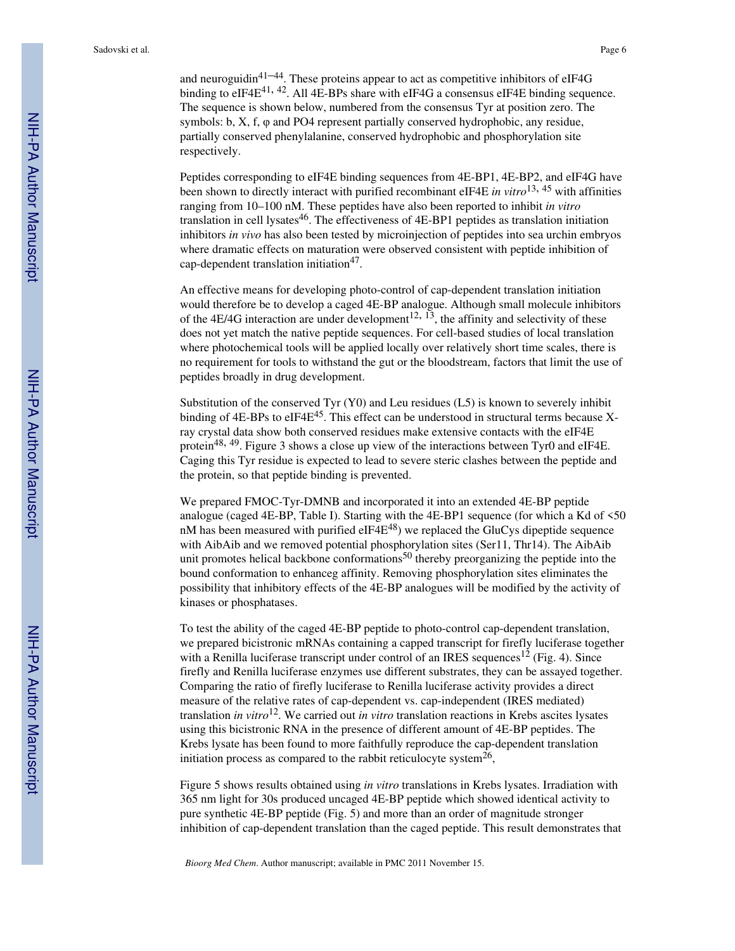and neuroguidin<sup>41–44</sup>. These proteins appear to act as competitive inhibitors of eIF4G binding to eIF4E<sup>41, 42</sup>. All 4E-BPs share with eIF4G a consensus eIF4E binding sequence. The sequence is shown below, numbered from the consensus Tyr at position zero. The symbols: b,  $X$ , f,  $\varphi$  and PO4 represent partially conserved hydrophobic, any residue, partially conserved phenylalanine, conserved hydrophobic and phosphorylation site respectively.

Peptides corresponding to eIF4E binding sequences from 4E-BP1, 4E-BP2, and eIF4G have been shown to directly interact with purified recombinant eIF4E *in vitro*13, 45 with affinities ranging from 10–100 nM. These peptides have also been reported to inhibit *in vitro* translation in cell lysates<sup>46</sup>. The effectiveness of 4E-BP1 peptides as translation initiation inhibitors *in vivo* has also been tested by microinjection of peptides into sea urchin embryos where dramatic effects on maturation were observed consistent with peptide inhibition of cap-dependent translation initiation<sup>47</sup>.

An effective means for developing photo-control of cap-dependent translation initiation would therefore be to develop a caged 4E-BP analogue. Although small molecule inhibitors of the 4E/4G interaction are under development<sup>12,  $13$ </sup>, the affinity and selectivity of these does not yet match the native peptide sequences. For cell-based studies of local translation where photochemical tools will be applied locally over relatively short time scales, there is no requirement for tools to withstand the gut or the bloodstream, factors that limit the use of peptides broadly in drug development.

Substitution of the conserved Tyr (Y0) and Leu residues (L5) is known to severely inhibit binding of 4E-BPs to eIF4E<sup>45</sup>. This effect can be understood in structural terms because Xray crystal data show both conserved residues make extensive contacts with the eIF4E protein<sup>48, 49</sup>. Figure 3 shows a close up view of the interactions between Tyr0 and eIF4E. Caging this Tyr residue is expected to lead to severe steric clashes between the peptide and the protein, so that peptide binding is prevented.

We prepared FMOC-Tyr-DMNB and incorporated it into an extended 4E-BP peptide analogue (caged 4E-BP, Table I). Starting with the 4E-BP1 sequence (for which a Kd of <50 nM has been measured with purified  $eIF4E^{48}$ ) we replaced the GluCys dipeptide sequence with AibAib and we removed potential phosphorylation sites (Ser11, Thr14). The AibAib unit promotes helical backbone conformations<sup>50</sup> thereby preorganizing the peptide into the bound conformation to enhanceg affinity. Removing phosphorylation sites eliminates the possibility that inhibitory effects of the 4E-BP analogues will be modified by the activity of kinases or phosphatases.

To test the ability of the caged 4E-BP peptide to photo-control cap-dependent translation, we prepared bicistronic mRNAs containing a capped transcript for firefly luciferase together with a Renilla luciferase transcript under control of an IRES sequences<sup>12</sup> (Fig. 4). Since firefly and Renilla luciferase enzymes use different substrates, they can be assayed together. Comparing the ratio of firefly luciferase to Renilla luciferase activity provides a direct measure of the relative rates of cap-dependent vs. cap-independent (IRES mediated) translation *in vitro*12. We carried out *in vitro* translation reactions in Krebs ascites lysates using this bicistronic RNA in the presence of different amount of 4E-BP peptides. The Krebs lysate has been found to more faithfully reproduce the cap-dependent translation initiation process as compared to the rabbit reticulocyte system $^{26}$ ,

Figure 5 shows results obtained using *in vitro* translations in Krebs lysates. Irradiation with 365 nm light for 30s produced uncaged 4E-BP peptide which showed identical activity to pure synthetic 4E-BP peptide (Fig. 5) and more than an order of magnitude stronger inhibition of cap-dependent translation than the caged peptide. This result demonstrates that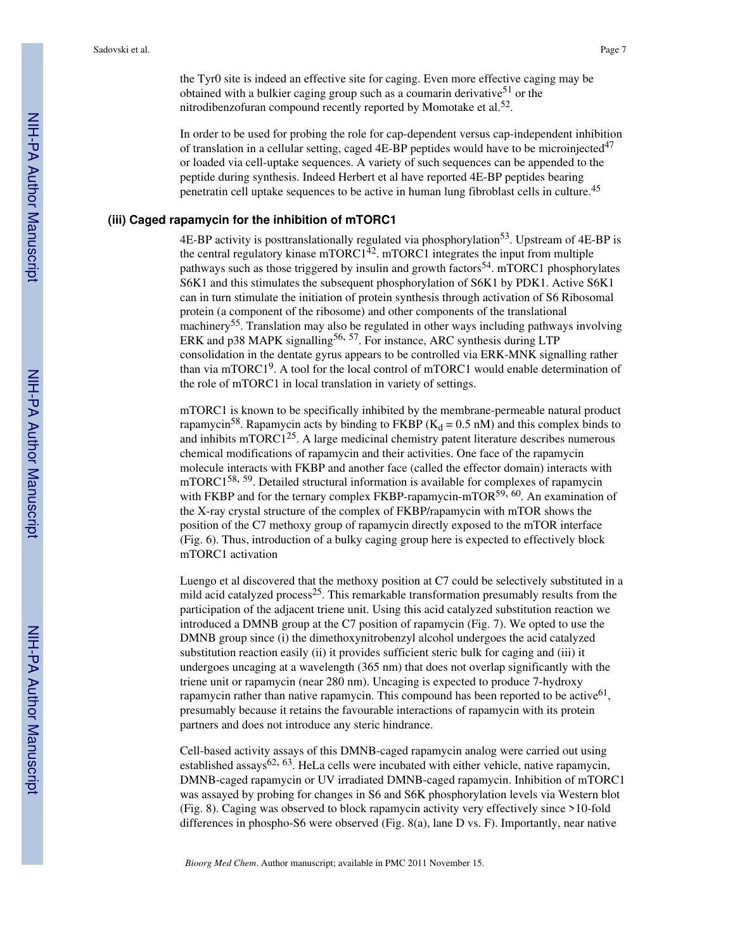the Tyr0 site is indeed an effective site for caging. Even more effective caging may be obtained with a bulkier caging group such as a coumarin derivative<sup>51</sup> or the nitrodibenzofuran compound recently reported by Momotake et al.<sup>52</sup>.

In order to be used for probing the role for cap-dependent versus cap-independent inhibition of translation in a cellular setting, caged  $4E-BP$  peptides would have to be microinjected<sup>47</sup> or loaded via cell-uptake sequences. A variety of such sequences can be appended to the peptide during synthesis. Indeed Herbert et al have reported 4E-BP peptides bearing penetratin cell uptake sequences to be active in human lung fibroblast cells in culture.<sup>45</sup>

## **(iii) Caged rapamycin for the inhibition of mTORC1**

4E-BP activity is posttranslationally regulated via phosphorylation<sup>53</sup>. Upstream of 4E-BP is the central regulatory kinase mTORC1 $^{42}$ . mTORC1 integrates the input from multiple pathways such as those triggered by insulin and growth factors<sup>54</sup>. mTORC1 phosphorylates S6K1 and this stimulates the subsequent phosphorylation of S6K1 by PDK1. Active S6K1 can in turn stimulate the initiation of protein synthesis through activation of S6 Ribosomal protein (a component of the ribosome) and other components of the translational machinery<sup>55</sup>. Translation may also be regulated in other ways including pathways involving ERK and p38 MAPK signalling<sup>56, 57</sup>. For instance, ARC synthesis during LTP consolidation in the dentate gyrus appears to be controlled via ERK-MNK signalling rather than via mTORC1<sup>9</sup>. A tool for the local control of mTORC1 would enable determination of the role of mTORC1 in local translation in variety of settings.

mTORC1 is known to be specifically inhibited by the membrane-permeable natural product rapamycin<sup>58</sup>. Rapamycin acts by binding to FKBP ( $K_d = 0.5$  nM) and this complex binds to and inhibits mTORC125. A large medicinal chemistry patent literature describes numerous chemical modifications of rapamycin and their activities. One face of the rapamycin molecule interacts with FKBP and another face (called the effector domain) interacts with mTORC1<sup>58, 59</sup>. Detailed structural information is available for complexes of rapamycin with FKBP and for the ternary complex FKBP-rapamycin-mTOR<sup>59, 60</sup>. An examination of the X-ray crystal structure of the complex of FKBP/rapamycin with mTOR shows the position of the C7 methoxy group of rapamycin directly exposed to the mTOR interface (Fig. 6). Thus, introduction of a bulky caging group here is expected to effectively block mTORC1 activation

Luengo et al discovered that the methoxy position at C7 could be selectively substituted in a mild acid catalyzed process<sup>25</sup>. This remarkable transformation presumably results from the participation of the adjacent triene unit. Using this acid catalyzed substitution reaction we introduced a DMNB group at the C7 position of rapamycin (Fig. 7). We opted to use the DMNB group since (i) the dimethoxynitrobenzyl alcohol undergoes the acid catalyzed substitution reaction easily (ii) it provides sufficient steric bulk for caging and (iii) it undergoes uncaging at a wavelength (365 nm) that does not overlap significantly with the triene unit or rapamycin (near 280 nm). Uncaging is expected to produce 7-hydroxy rapamycin rather than native rapamycin. This compound has been reported to be active  $61$ , presumably because it retains the favourable interactions of rapamycin with its protein partners and does not introduce any steric hindrance.

Cell-based activity assays of this DMNB-caged rapamycin analog were carried out using established assays<sup>62, 63</sup>. HeLa cells were incubated with either vehicle, native rapamycin, DMNB-caged rapamycin or UV irradiated DMNB-caged rapamycin. Inhibition of mTORC1 was assayed by probing for changes in S6 and S6K phosphorylation levels via Western blot (Fig. 8). Caging was observed to block rapamycin activity very effectively since >10-fold differences in phospho-S6 were observed (Fig. 8(a), lane D vs. F). Importantly, near native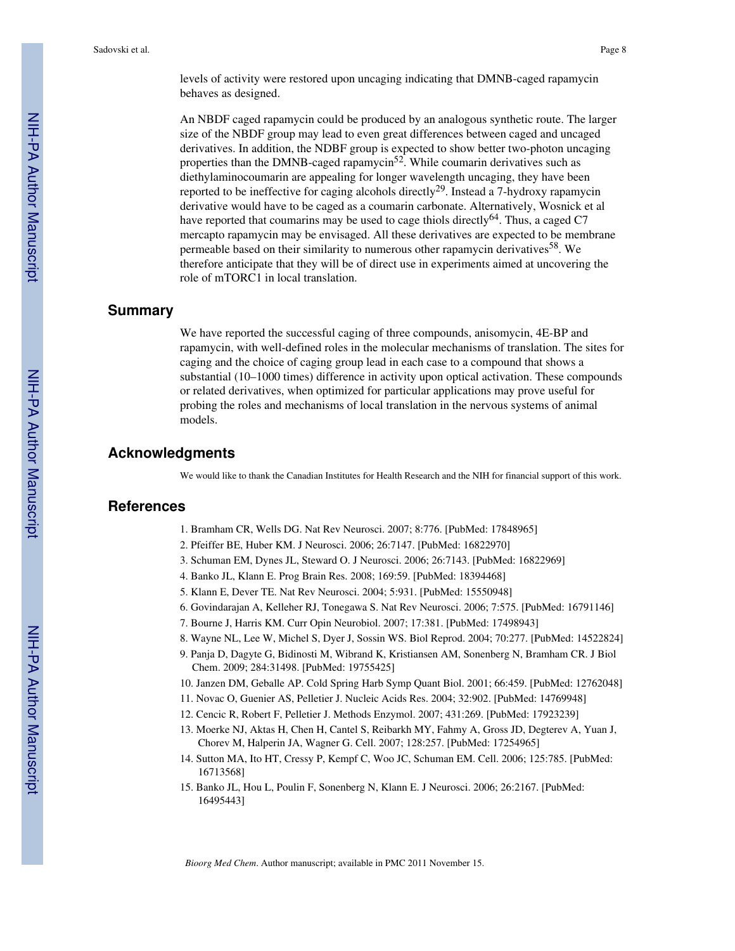An NBDF caged rapamycin could be produced by an analogous synthetic route. The larger size of the NBDF group may lead to even great differences between caged and uncaged derivatives. In addition, the NDBF group is expected to show better two-photon uncaging properties than the DMNB-caged rapamycin<sup>52</sup>. While coumarin derivatives such as diethylaminocoumarin are appealing for longer wavelength uncaging, they have been reported to be ineffective for caging alcohols directly<sup>29</sup>. Instead a 7-hydroxy rapamycin derivative would have to be caged as a coumarin carbonate. Alternatively, Wosnick et al have reported that coumarins may be used to cage thiols directly<sup>64</sup>. Thus, a caged C7 mercapto rapamycin may be envisaged. All these derivatives are expected to be membrane permeable based on their similarity to numerous other rapamycin derivatives<sup>58</sup>. We therefore anticipate that they will be of direct use in experiments aimed at uncovering the role of mTORC1 in local translation.

## **Summary**

We have reported the successful caging of three compounds, anisomycin, 4E-BP and rapamycin, with well-defined roles in the molecular mechanisms of translation. The sites for caging and the choice of caging group lead in each case to a compound that shows a substantial (10–1000 times) difference in activity upon optical activation. These compounds or related derivatives, when optimized for particular applications may prove useful for probing the roles and mechanisms of local translation in the nervous systems of animal models.

## **Acknowledgments**

We would like to thank the Canadian Institutes for Health Research and the NIH for financial support of this work.

## **References**

- 1. Bramham CR, Wells DG. Nat Rev Neurosci. 2007; 8:776. [PubMed: 17848965]
- 2. Pfeiffer BE, Huber KM. J Neurosci. 2006; 26:7147. [PubMed: 16822970]
- 3. Schuman EM, Dynes JL, Steward O. J Neurosci. 2006; 26:7143. [PubMed: 16822969]
- 4. Banko JL, Klann E. Prog Brain Res. 2008; 169:59. [PubMed: 18394468]
- 5. Klann E, Dever TE. Nat Rev Neurosci. 2004; 5:931. [PubMed: 15550948]
- 6. Govindarajan A, Kelleher RJ, Tonegawa S. Nat Rev Neurosci. 2006; 7:575. [PubMed: 16791146]
- 7. Bourne J, Harris KM. Curr Opin Neurobiol. 2007; 17:381. [PubMed: 17498943]
- 8. Wayne NL, Lee W, Michel S, Dyer J, Sossin WS. Biol Reprod. 2004; 70:277. [PubMed: 14522824]
- 9. Panja D, Dagyte G, Bidinosti M, Wibrand K, Kristiansen AM, Sonenberg N, Bramham CR. J Biol Chem. 2009; 284:31498. [PubMed: 19755425]
- 10. Janzen DM, Geballe AP. Cold Spring Harb Symp Quant Biol. 2001; 66:459. [PubMed: 12762048]
- 11. Novac O, Guenier AS, Pelletier J. Nucleic Acids Res. 2004; 32:902. [PubMed: 14769948]
- 12. Cencic R, Robert F, Pelletier J. Methods Enzymol. 2007; 431:269. [PubMed: 17923239]
- 13. Moerke NJ, Aktas H, Chen H, Cantel S, Reibarkh MY, Fahmy A, Gross JD, Degterev A, Yuan J, Chorev M, Halperin JA, Wagner G. Cell. 2007; 128:257. [PubMed: 17254965]
- 14. Sutton MA, Ito HT, Cressy P, Kempf C, Woo JC, Schuman EM. Cell. 2006; 125:785. [PubMed: 16713568]
- 15. Banko JL, Hou L, Poulin F, Sonenberg N, Klann E. J Neurosci. 2006; 26:2167. [PubMed: 16495443]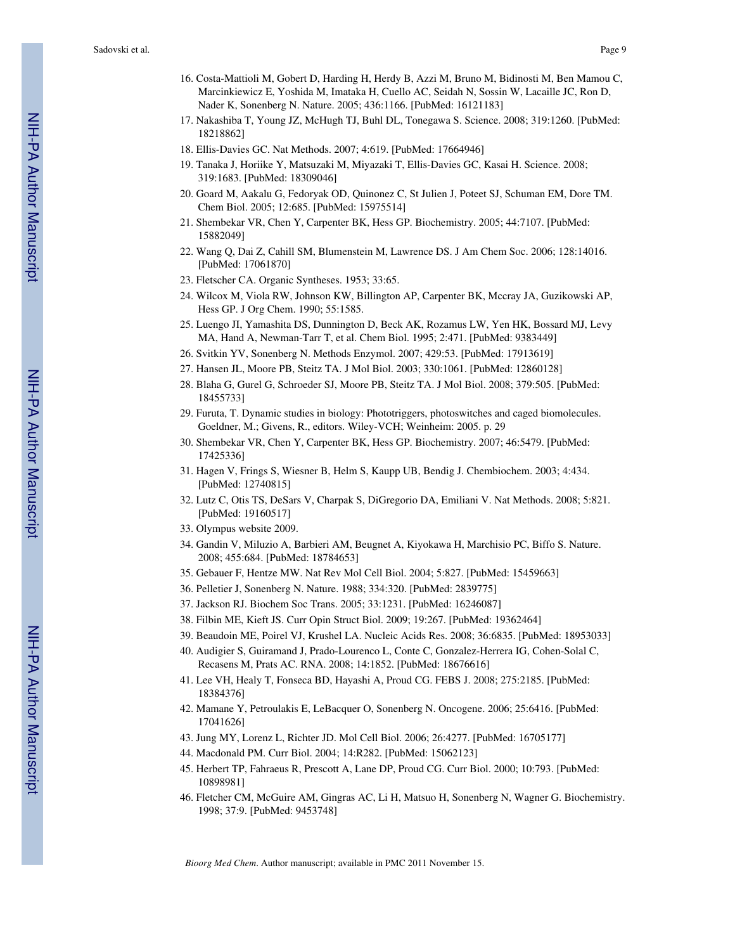- 16. Costa-Mattioli M, Gobert D, Harding H, Herdy B, Azzi M, Bruno M, Bidinosti M, Ben Mamou C, Marcinkiewicz E, Yoshida M, Imataka H, Cuello AC, Seidah N, Sossin W, Lacaille JC, Ron D, Nader K, Sonenberg N. Nature. 2005; 436:1166. [PubMed: 16121183]
- 17. Nakashiba T, Young JZ, McHugh TJ, Buhl DL, Tonegawa S. Science. 2008; 319:1260. [PubMed: 18218862]
- 18. Ellis-Davies GC. Nat Methods. 2007; 4:619. [PubMed: 17664946]
- 19. Tanaka J, Horiike Y, Matsuzaki M, Miyazaki T, Ellis-Davies GC, Kasai H. Science. 2008; 319:1683. [PubMed: 18309046]
- 20. Goard M, Aakalu G, Fedoryak OD, Quinonez C, St Julien J, Poteet SJ, Schuman EM, Dore TM. Chem Biol. 2005; 12:685. [PubMed: 15975514]
- 21. Shembekar VR, Chen Y, Carpenter BK, Hess GP. Biochemistry. 2005; 44:7107. [PubMed: 15882049]
- 22. Wang Q, Dai Z, Cahill SM, Blumenstein M, Lawrence DS. J Am Chem Soc. 2006; 128:14016. [PubMed: 17061870]
- 23. Fletscher CA. Organic Syntheses. 1953; 33:65.
- 24. Wilcox M, Viola RW, Johnson KW, Billington AP, Carpenter BK, Mccray JA, Guzikowski AP, Hess GP. J Org Chem. 1990; 55:1585.
- 25. Luengo JI, Yamashita DS, Dunnington D, Beck AK, Rozamus LW, Yen HK, Bossard MJ, Levy MA, Hand A, Newman-Tarr T, et al. Chem Biol. 1995; 2:471. [PubMed: 9383449]
- 26. Svitkin YV, Sonenberg N. Methods Enzymol. 2007; 429:53. [PubMed: 17913619]
- 27. Hansen JL, Moore PB, Steitz TA. J Mol Biol. 2003; 330:1061. [PubMed: 12860128]
- 28. Blaha G, Gurel G, Schroeder SJ, Moore PB, Steitz TA. J Mol Biol. 2008; 379:505. [PubMed: 18455733]
- 29. Furuta, T. Dynamic studies in biology: Phototriggers, photoswitches and caged biomolecules. Goeldner, M.; Givens, R., editors. Wiley-VCH; Weinheim: 2005. p. 29
- 30. Shembekar VR, Chen Y, Carpenter BK, Hess GP. Biochemistry. 2007; 46:5479. [PubMed: 17425336]
- 31. Hagen V, Frings S, Wiesner B, Helm S, Kaupp UB, Bendig J. Chembiochem. 2003; 4:434. [PubMed: 12740815]
- 32. Lutz C, Otis TS, DeSars V, Charpak S, DiGregorio DA, Emiliani V. Nat Methods. 2008; 5:821. [PubMed: 19160517]
- 33. Olympus website 2009.
- 34. Gandin V, Miluzio A, Barbieri AM, Beugnet A, Kiyokawa H, Marchisio PC, Biffo S. Nature. 2008; 455:684. [PubMed: 18784653]
- 35. Gebauer F, Hentze MW. Nat Rev Mol Cell Biol. 2004; 5:827. [PubMed: 15459663]
- 36. Pelletier J, Sonenberg N. Nature. 1988; 334:320. [PubMed: 2839775]
- 37. Jackson RJ. Biochem Soc Trans. 2005; 33:1231. [PubMed: 16246087]
- 38. Filbin ME, Kieft JS. Curr Opin Struct Biol. 2009; 19:267. [PubMed: 19362464]
- 39. Beaudoin ME, Poirel VJ, Krushel LA. Nucleic Acids Res. 2008; 36:6835. [PubMed: 18953033]
- 40. Audigier S, Guiramand J, Prado-Lourenco L, Conte C, Gonzalez-Herrera IG, Cohen-Solal C, Recasens M, Prats AC. RNA. 2008; 14:1852. [PubMed: 18676616]
- 41. Lee VH, Healy T, Fonseca BD, Hayashi A, Proud CG. FEBS J. 2008; 275:2185. [PubMed: 18384376]
- 42. Mamane Y, Petroulakis E, LeBacquer O, Sonenberg N. Oncogene. 2006; 25:6416. [PubMed: 17041626]
- 43. Jung MY, Lorenz L, Richter JD. Mol Cell Biol. 2006; 26:4277. [PubMed: 16705177]
- 44. Macdonald PM. Curr Biol. 2004; 14:R282. [PubMed: 15062123]
- 45. Herbert TP, Fahraeus R, Prescott A, Lane DP, Proud CG. Curr Biol. 2000; 10:793. [PubMed: 10898981]
- 46. Fletcher CM, McGuire AM, Gingras AC, Li H, Matsuo H, Sonenberg N, Wagner G. Biochemistry. 1998; 37:9. [PubMed: 9453748]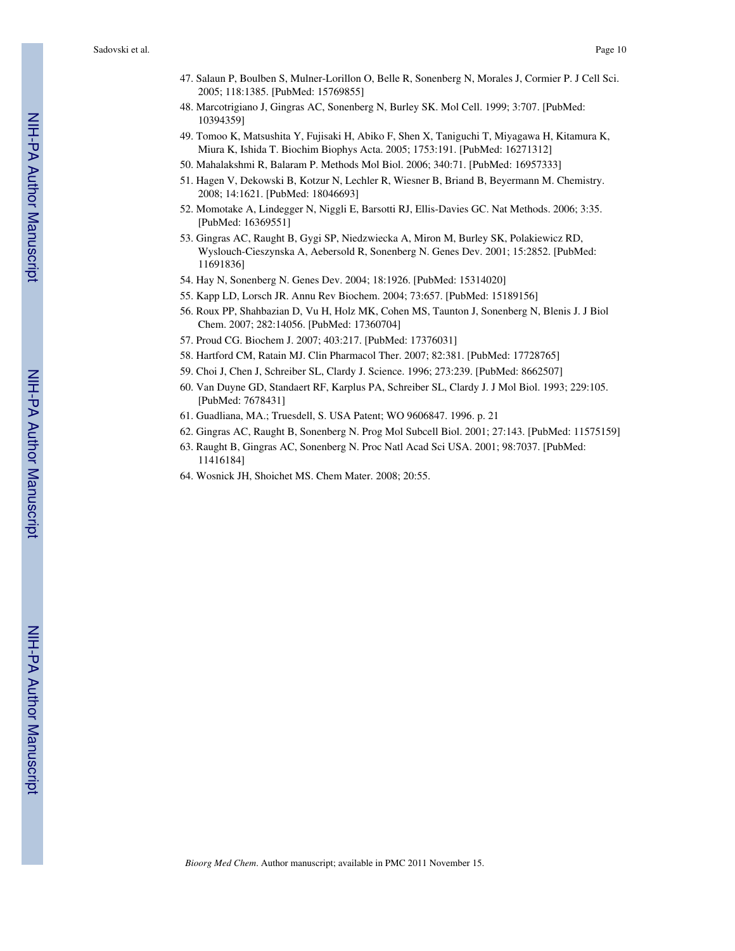- 47. Salaun P, Boulben S, Mulner-Lorillon O, Belle R, Sonenberg N, Morales J, Cormier P. J Cell Sci. 2005; 118:1385. [PubMed: 15769855]
- 48. Marcotrigiano J, Gingras AC, Sonenberg N, Burley SK. Mol Cell. 1999; 3:707. [PubMed: 10394359]
- 49. Tomoo K, Matsushita Y, Fujisaki H, Abiko F, Shen X, Taniguchi T, Miyagawa H, Kitamura K, Miura K, Ishida T. Biochim Biophys Acta. 2005; 1753:191. [PubMed: 16271312]
- 50. Mahalakshmi R, Balaram P. Methods Mol Biol. 2006; 340:71. [PubMed: 16957333]
- 51. Hagen V, Dekowski B, Kotzur N, Lechler R, Wiesner B, Briand B, Beyermann M. Chemistry. 2008; 14:1621. [PubMed: 18046693]
- 52. Momotake A, Lindegger N, Niggli E, Barsotti RJ, Ellis-Davies GC. Nat Methods. 2006; 3:35. [PubMed: 16369551]
- 53. Gingras AC, Raught B, Gygi SP, Niedzwiecka A, Miron M, Burley SK, Polakiewicz RD, Wyslouch-Cieszynska A, Aebersold R, Sonenberg N. Genes Dev. 2001; 15:2852. [PubMed: 11691836]
- 54. Hay N, Sonenberg N. Genes Dev. 2004; 18:1926. [PubMed: 15314020]
- 55. Kapp LD, Lorsch JR. Annu Rev Biochem. 2004; 73:657. [PubMed: 15189156]
- 56. Roux PP, Shahbazian D, Vu H, Holz MK, Cohen MS, Taunton J, Sonenberg N, Blenis J. J Biol Chem. 2007; 282:14056. [PubMed: 17360704]
- 57. Proud CG. Biochem J. 2007; 403:217. [PubMed: 17376031]
- 58. Hartford CM, Ratain MJ. Clin Pharmacol Ther. 2007; 82:381. [PubMed: 17728765]
- 59. Choi J, Chen J, Schreiber SL, Clardy J. Science. 1996; 273:239. [PubMed: 8662507]
- 60. Van Duyne GD, Standaert RF, Karplus PA, Schreiber SL, Clardy J. J Mol Biol. 1993; 229:105. [PubMed: 7678431]
- 61. Guadliana, MA.; Truesdell, S. USA Patent; WO 9606847. 1996. p. 21
- 62. Gingras AC, Raught B, Sonenberg N. Prog Mol Subcell Biol. 2001; 27:143. [PubMed: 11575159]
- 63. Raught B, Gingras AC, Sonenberg N. Proc Natl Acad Sci USA. 2001; 98:7037. [PubMed: 11416184]
- 64. Wosnick JH, Shoichet MS. Chem Mater. 2008; 20:55.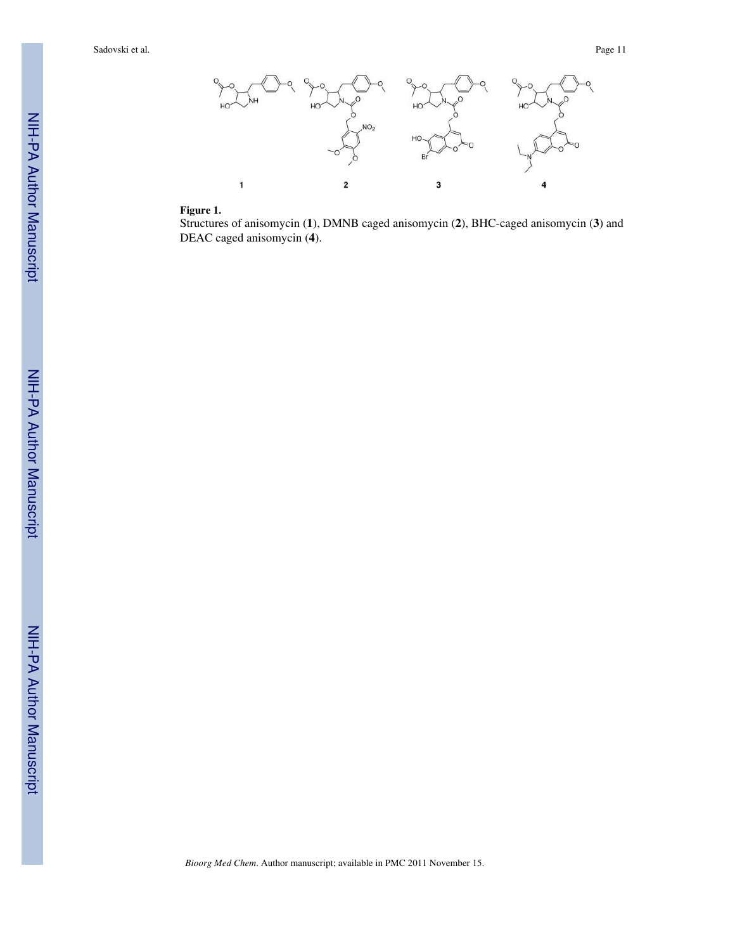

## **Figure 1.**

Structures of anisomycin (**1**), DMNB caged anisomycin (**2**), BHC-caged anisomycin (**3**) and DEAC caged anisomycin (**4**).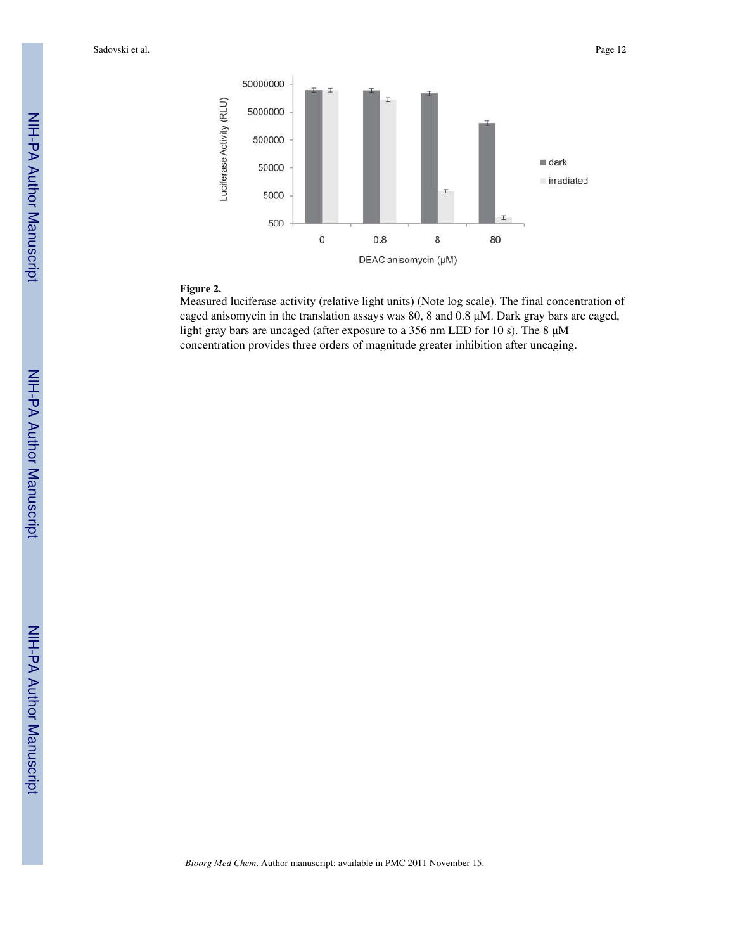

## **Figure 2.**

Measured luciferase activity (relative light units) (Note log scale). The final concentration of caged anisomycin in the translation assays was 80, 8 and 0.8 μM. Dark gray bars are caged, light gray bars are uncaged (after exposure to a 356 nm LED for 10 s). The 8 μM concentration provides three orders of magnitude greater inhibition after uncaging.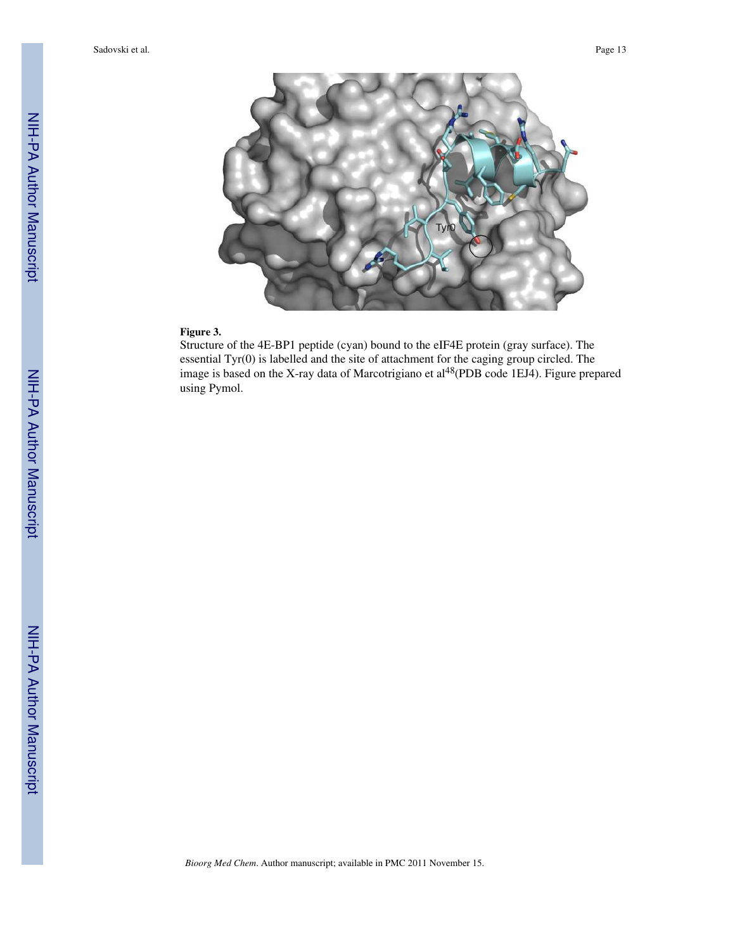

## **Figure 3.**

Structure of the 4E-BP1 peptide (cyan) bound to the eIF4E protein (gray surface). The essential Tyr(0) is labelled and the site of attachment for the caging group circled. The image is based on the X-ray data of Marcotrigiano et al<sup>48</sup>(PDB code 1EJ4). Figure prepared using Pymol.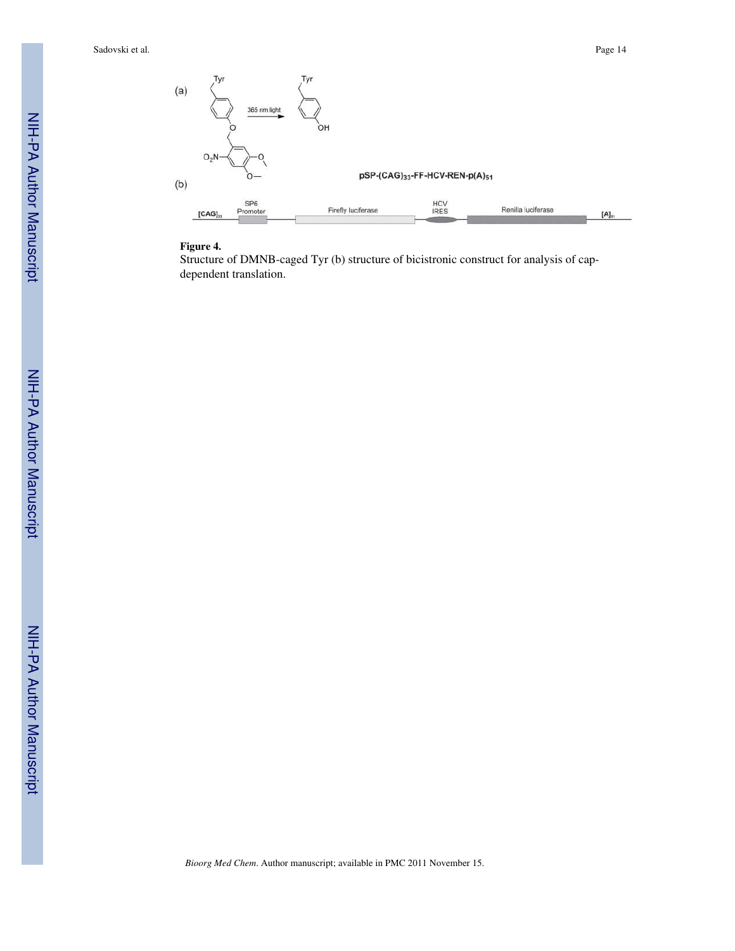

#### **Figure 4.**

Structure of DMNB-caged Tyr (b) structure of bicistronic construct for analysis of capdependent translation.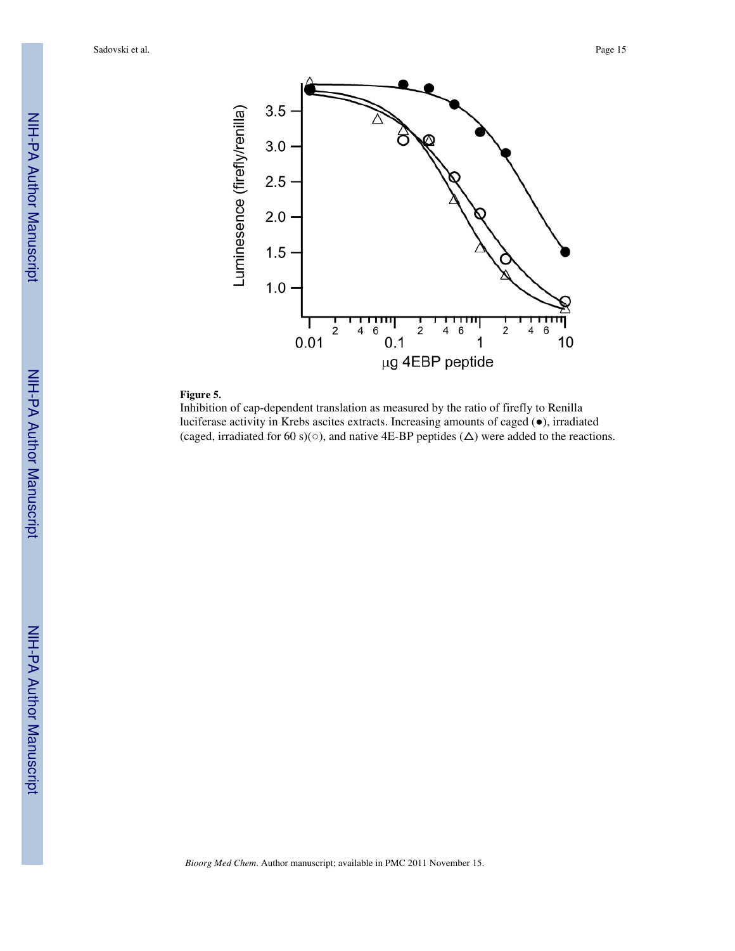

## **Figure 5.**

Inhibition of cap-dependent translation as measured by the ratio of firefly to Renilla luciferase activity in Krebs ascites extracts. Increasing amounts of caged (●), irradiated (caged, irradiated for 60 s)( $\circ$ ), and native 4E-BP peptides ( $\Delta$ ) were added to the reactions.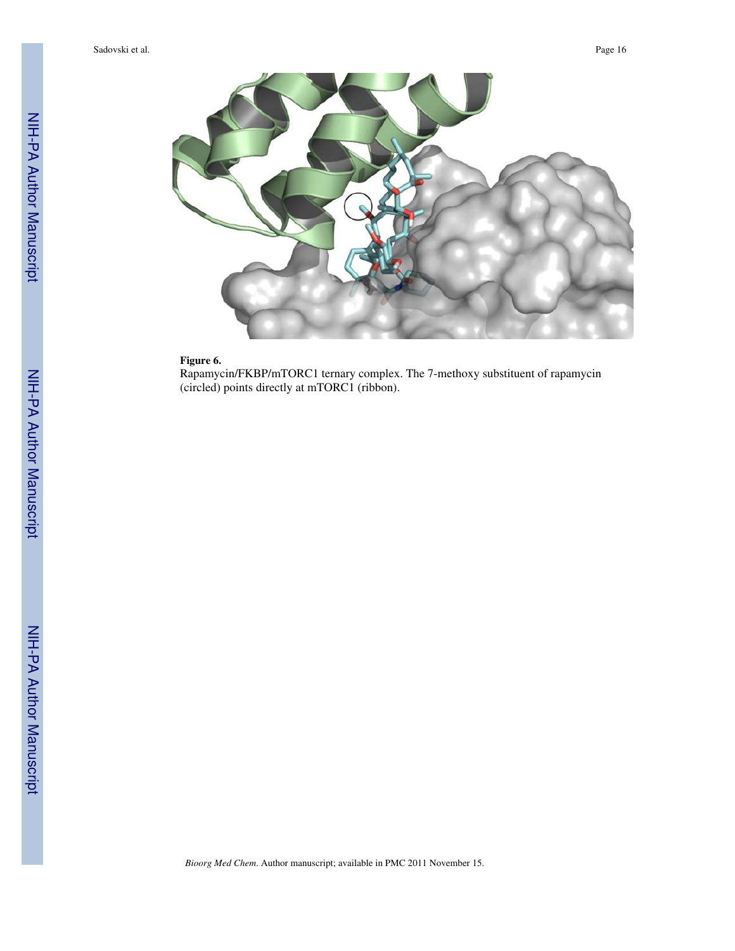

## **Figure 6.**

Rapamycin/FKBP/mTORC1 ternary complex. The 7-methoxy substituent of rapamycin (circled) points directly at mTORC1 (ribbon).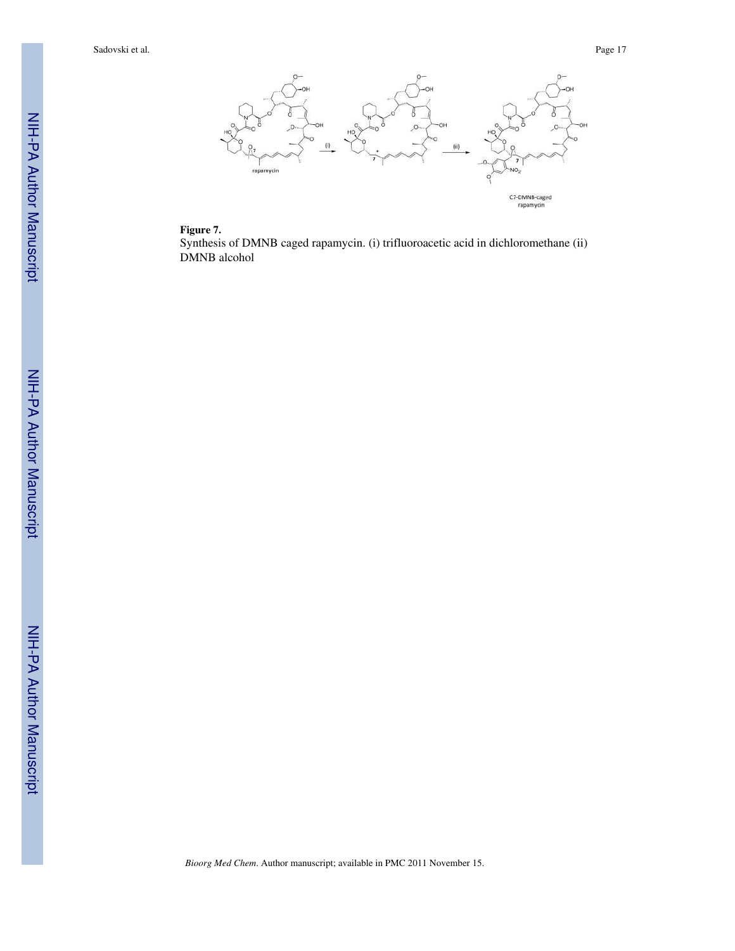

## **Figure 7.**

Synthesis of DMNB caged rapamycin. (i) trifluoroacetic acid in dichloromethane (ii) DMNB alcohol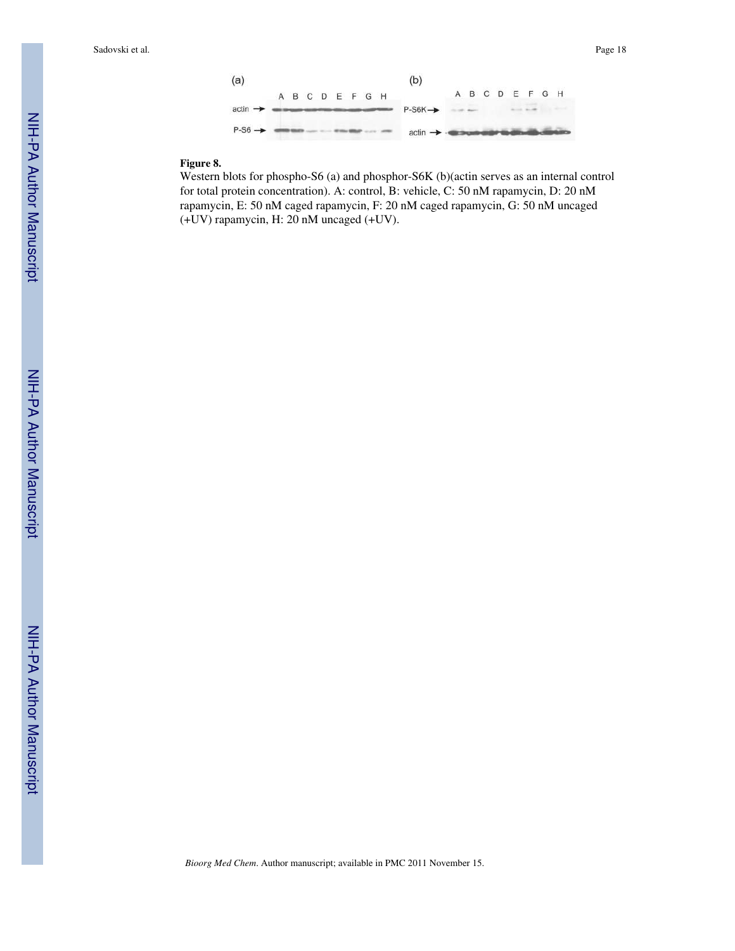

## **Figure 8.**

Western blots for phospho-S6 (a) and phosphor-S6K (b)(actin serves as an internal control for total protein concentration). A: control, B: vehicle, C: 50 nM rapamycin, D: 20 nM rapamycin, E: 50 nM caged rapamycin, F: 20 nM caged rapamycin, G: 50 nM uncaged (+UV) rapamycin, H: 20 nM uncaged (+UV).